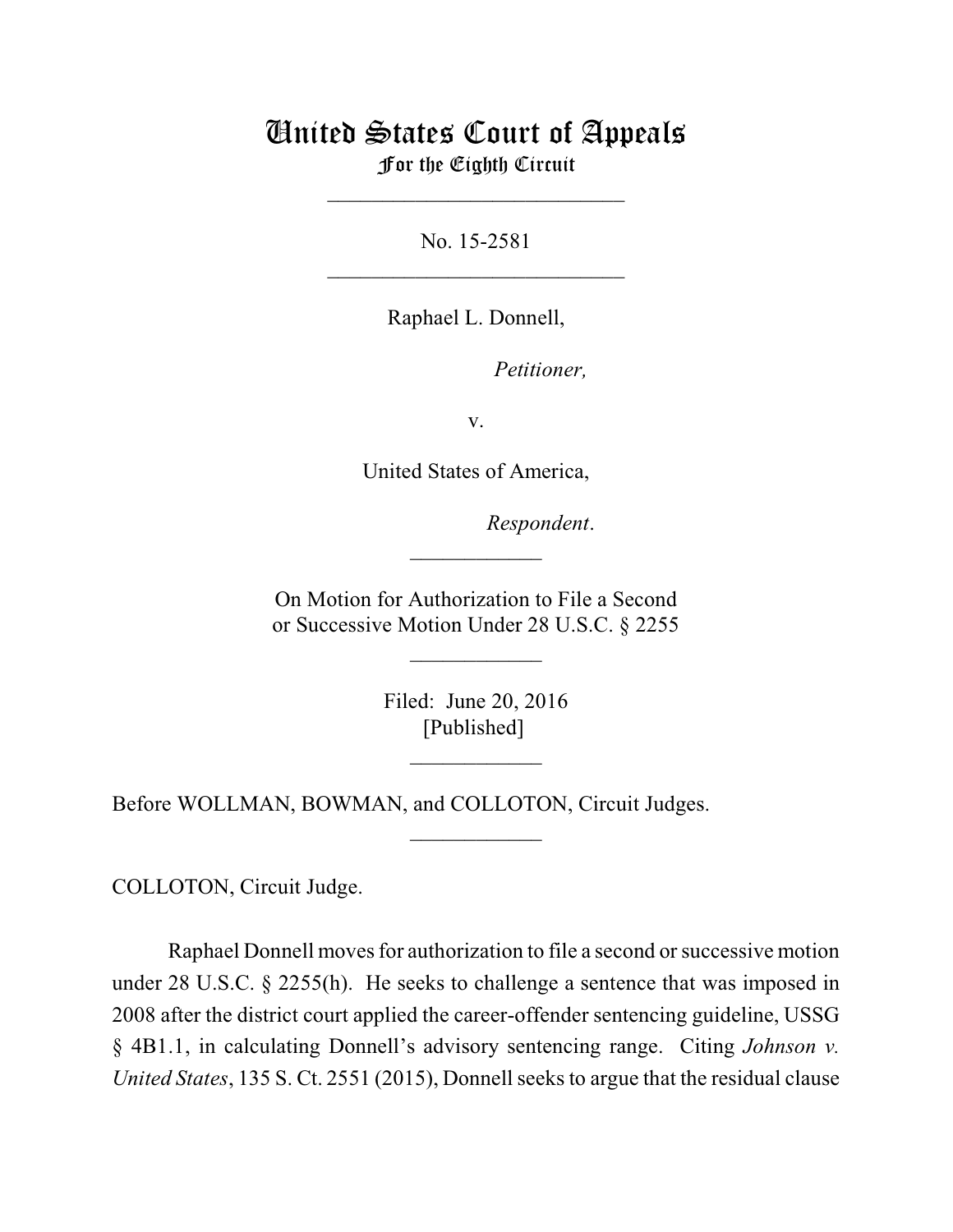## United States Court of Appeals For the Eighth Circuit

\_\_\_\_\_\_\_\_\_\_\_\_\_\_\_\_\_\_\_\_\_\_\_\_\_\_\_

No. 15-2581  $\mathcal{L}_\text{max}$  , which is a set of the set of the set of the set of the set of the set of the set of the set of the set of the set of the set of the set of the set of the set of the set of the set of the set of the set of

Raphael L. Donnell,

*Petitioner,* 

v.

United States of America,

lllllllllllllllllllll*Respondent*.

On Motion for Authorization to File a Second or Successive Motion Under 28 U.S.C. § 2255

 $\overline{\phantom{a}}$  , where  $\overline{\phantom{a}}$ 

 $\frac{1}{2}$ 

Filed: June 20, 2016 [Published]

 $\frac{1}{2}$ 

 $\overline{\phantom{a}}$  , where  $\overline{\phantom{a}}$ 

Before WOLLMAN, BOWMAN, and COLLOTON, Circuit Judges.

COLLOTON, Circuit Judge.

Raphael Donnell moves for authorization to file a second or successive motion under 28 U.S.C. § 2255(h). He seeks to challenge a sentence that was imposed in 2008 after the district court applied the career-offender sentencing guideline, USSG § 4B1.1, in calculating Donnell's advisory sentencing range. Citing *Johnson v. United States*, 135 S. Ct. 2551 (2015), Donnell seeks to argue that the residual clause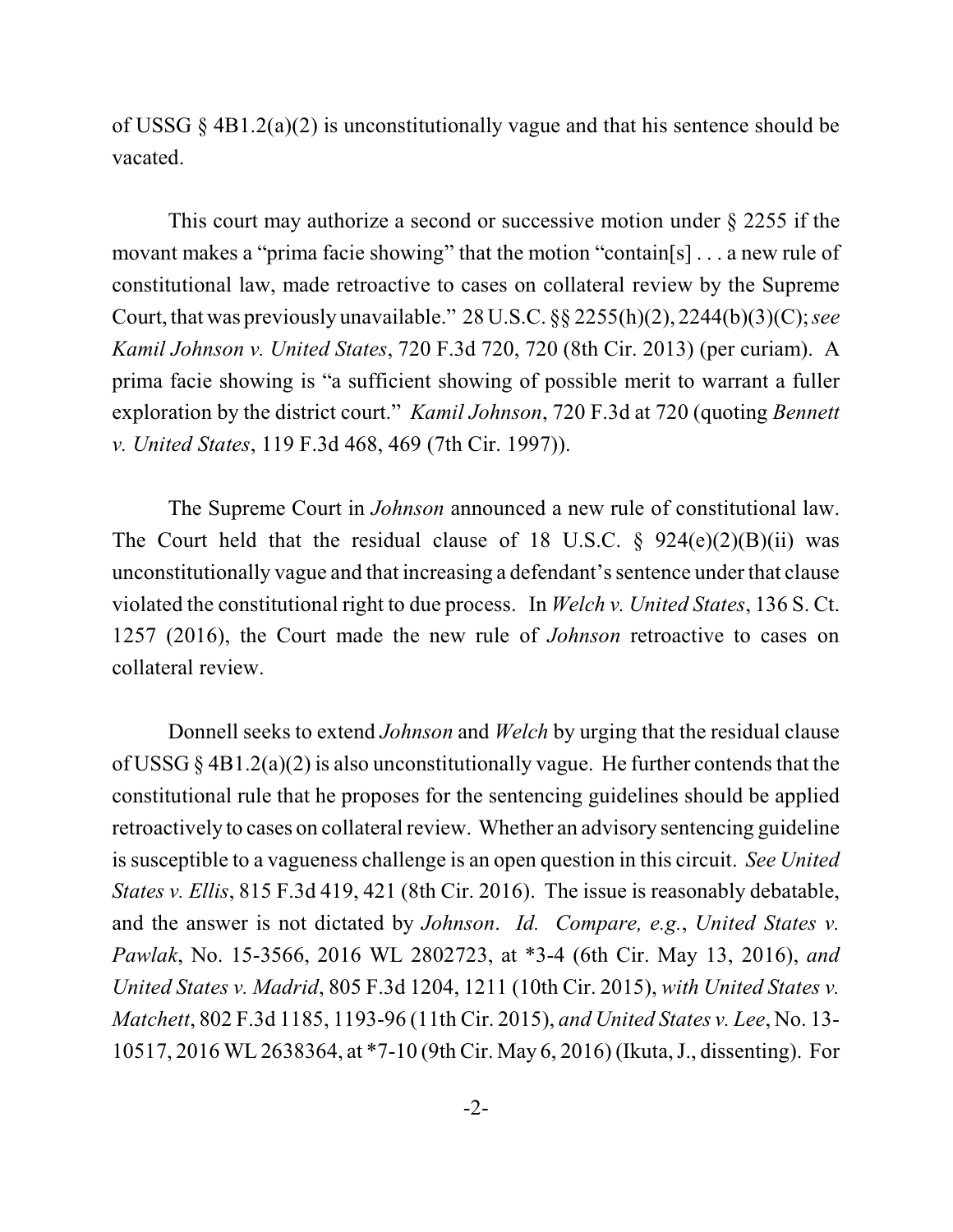of USSG  $\S$  4B1.2(a)(2) is unconstitutionally vague and that his sentence should be vacated.

This court may authorize a second or successive motion under § 2255 if the movant makes a "prima facie showing" that the motion "contain[s] . . . a new rule of constitutional law, made retroactive to cases on collateral review by the Supreme Court, that was previously unavailable." 28 U.S.C. §§ 2255(h)(2), 2244(b)(3)(C); *see Kamil Johnson v. United States*, 720 F.3d 720, 720 (8th Cir. 2013) (per curiam). A prima facie showing is "a sufficient showing of possible merit to warrant a fuller exploration by the district court." *Kamil Johnson*, 720 F.3d at 720 (quoting *Bennett v. United States*, 119 F.3d 468, 469 (7th Cir. 1997)).

The Supreme Court in *Johnson* announced a new rule of constitutional law. The Court held that the residual clause of 18 U.S.C.  $\S$  924(e)(2)(B)(ii) was unconstitutionally vague and that increasing a defendant's sentence under that clause violated the constitutional right to due process. In *Welch v. United States*, 136 S. Ct. 1257 (2016), the Court made the new rule of *Johnson* retroactive to cases on collateral review.

Donnell seeks to extend *Johnson* and *Welch* by urging that the residual clause of USSG § 4B1.2(a)(2) is also unconstitutionally vague. He further contends that the constitutional rule that he proposes for the sentencing guidelines should be applied retroactively to cases on collateral review. Whether an advisory sentencing guideline is susceptible to a vagueness challenge is an open question in this circuit. *See United States v. Ellis*, 815 F.3d 419, 421 (8th Cir. 2016). The issue is reasonably debatable, and the answer is not dictated by *Johnson*. *Id. Compare, e.g.*, *United States v. Pawlak*, No. 15-3566, 2016 WL 2802723, at \*3-4 (6th Cir. May 13, 2016), *and United States v. Madrid*, 805 F.3d 1204, 1211 (10th Cir. 2015), *with United States v. Matchett*, 802 F.3d 1185, 1193-96 (11th Cir. 2015), *and United States v. Lee*, No. 13- 10517, 2016 WL 2638364, at \*7-10 (9th Cir. May 6, 2016) (Ikuta, J., dissenting). For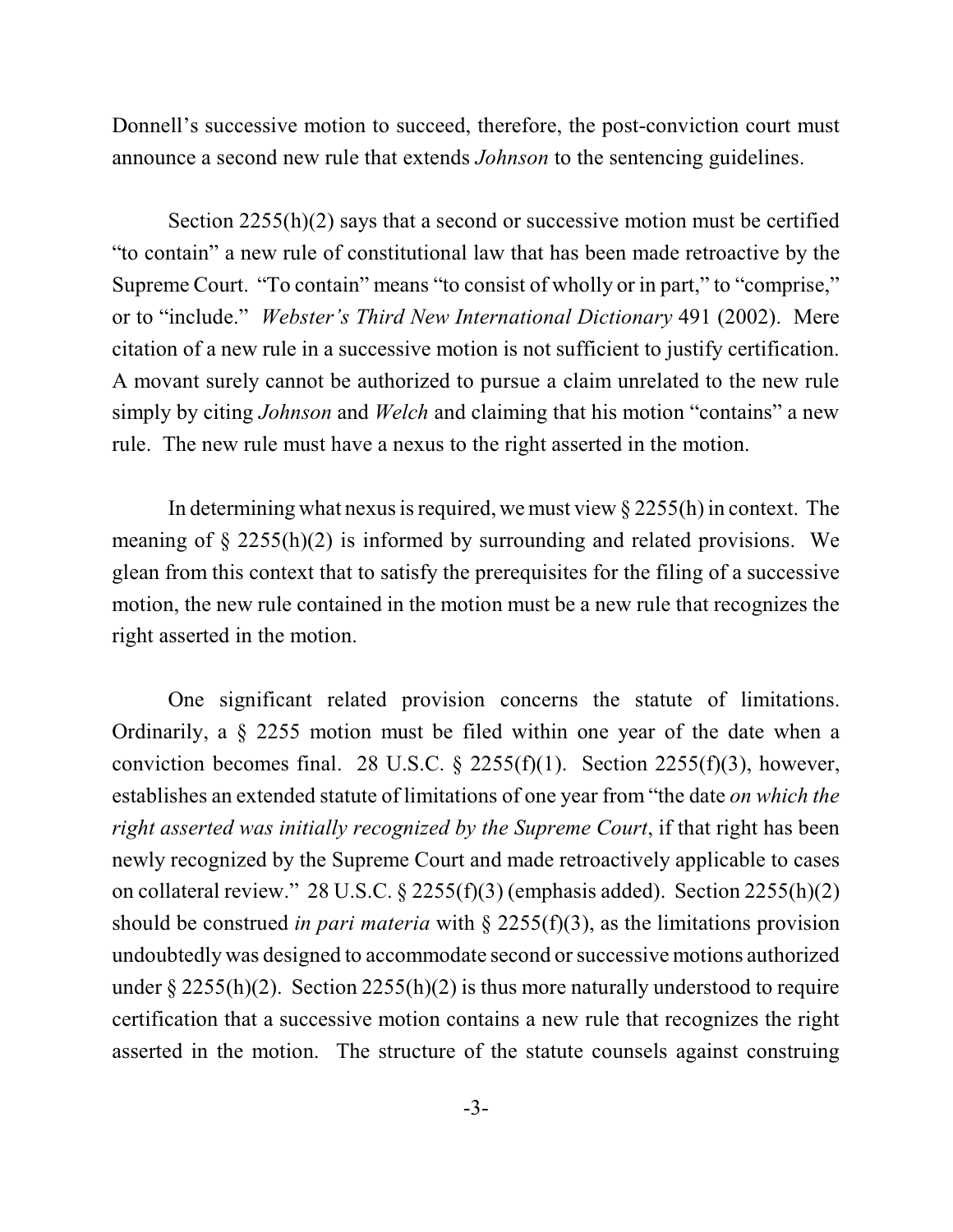Donnell's successive motion to succeed, therefore, the post-conviction court must announce a second new rule that extends *Johnson* to the sentencing guidelines.

Section 2255(h)(2) says that a second or successive motion must be certified "to contain" a new rule of constitutional law that has been made retroactive by the Supreme Court. "To contain" means "to consist of wholly or in part," to "comprise," or to "include." *Webster's Third New International Dictionary* 491 (2002). Mere citation of a new rule in a successive motion is not sufficient to justify certification. A movant surely cannot be authorized to pursue a claim unrelated to the new rule simply by citing *Johnson* and *Welch* and claiming that his motion "contains" a new rule. The new rule must have a nexus to the right asserted in the motion.

In determining what nexus is required, we must view  $\S 2255(h)$  in context. The meaning of  $\S$  2255(h)(2) is informed by surrounding and related provisions. We glean from this context that to satisfy the prerequisites for the filing of a successive motion, the new rule contained in the motion must be a new rule that recognizes the right asserted in the motion.

One significant related provision concerns the statute of limitations. Ordinarily, a § 2255 motion must be filed within one year of the date when a conviction becomes final. 28 U.S.C. § 2255(f)(1). Section 2255(f)(3), however, establishes an extended statute of limitations of one year from "the date *on which the right asserted was initially recognized by the Supreme Court*, if that right has been newly recognized by the Supreme Court and made retroactively applicable to cases on collateral review." 28 U.S.C. § 2255(f)(3) (emphasis added). Section 2255(h)(2) should be construed *in pari materia* with § 2255(f)(3), as the limitations provision undoubtedly was designed to accommodate second orsuccessive motions authorized under  $\S 2255(h)(2)$ . Section 2255(h)(2) is thus more naturally understood to require certification that a successive motion contains a new rule that recognizes the right asserted in the motion. The structure of the statute counsels against construing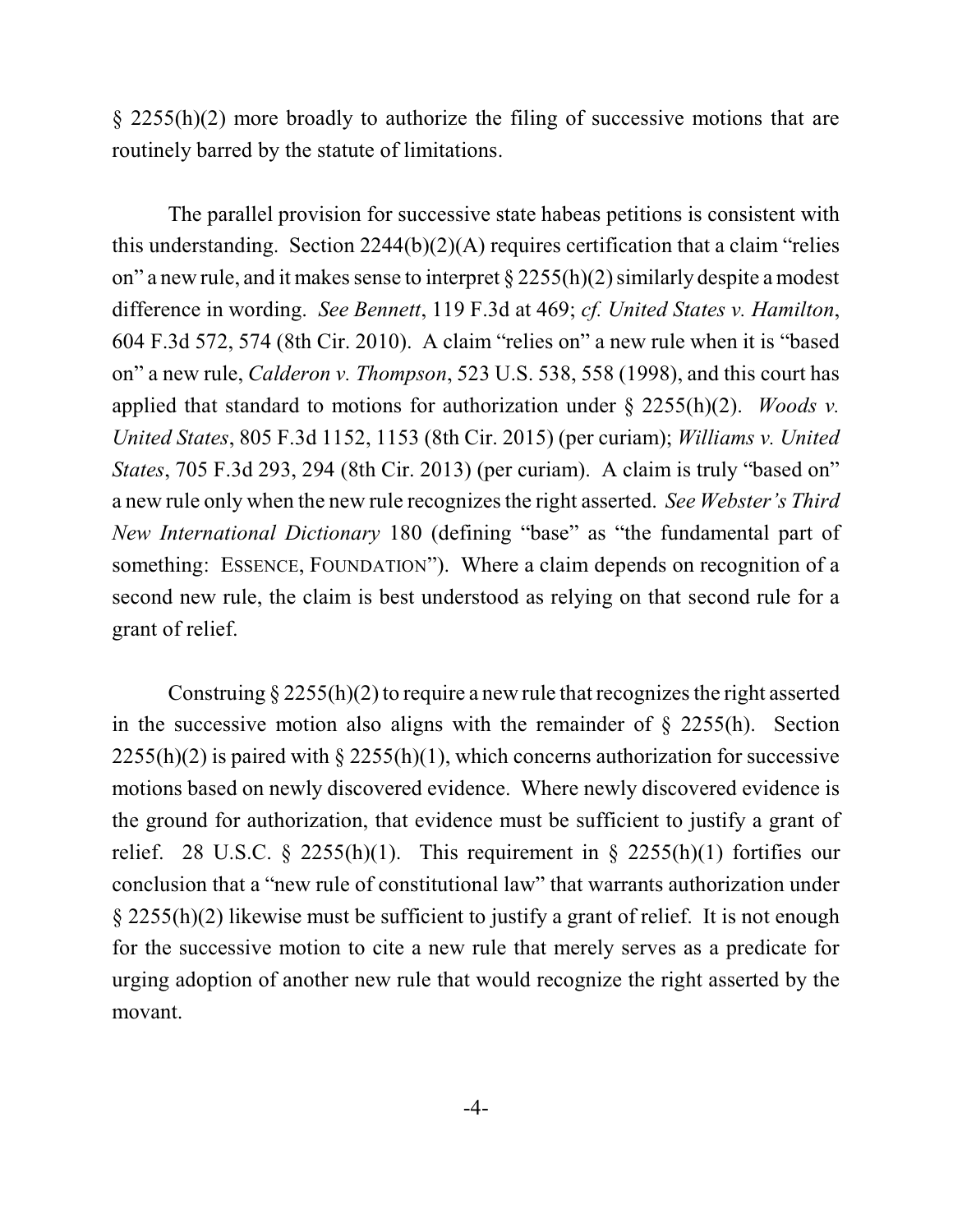§ 2255(h)(2) more broadly to authorize the filing of successive motions that are routinely barred by the statute of limitations.

The parallel provision for successive state habeas petitions is consistent with this understanding. Section  $2244(b)(2)(A)$  requires certification that a claim "relies" on" a new rule, and it makes sense to interpret  $\S 2255(h)(2)$  similarly despite a modest difference in wording. *See Bennett*, 119 F.3d at 469; *cf. United States v. Hamilton*, 604 F.3d 572, 574 (8th Cir. 2010). A claim "relies on" a new rule when it is "based on" a new rule, *Calderon v. Thompson*, 523 U.S. 538, 558 (1998), and this court has applied that standard to motions for authorization under § 2255(h)(2). *Woods v. United States*, 805 F.3d 1152, 1153 (8th Cir. 2015) (per curiam); *Williams v. United States*, 705 F.3d 293, 294 (8th Cir. 2013) (per curiam). A claim is truly "based on" a new rule only when the new rule recognizesthe right asserted. *See Webster's Third New International Dictionary* 180 (defining "base" as "the fundamental part of something: ESSENCE, FOUNDATION"). Where a claim depends on recognition of a second new rule, the claim is best understood as relying on that second rule for a grant of relief.

Construing  $\S 2255(h)(2)$  to require a new rule that recognizes the right asserted in the successive motion also aligns with the remainder of  $\S$  2255(h). Section  $2255(h)(2)$  is paired with § 2255(h)(1), which concerns authorization for successive motions based on newly discovered evidence. Where newly discovered evidence is the ground for authorization, that evidence must be sufficient to justify a grant of relief. 28 U.S.C. § 2255(h)(1). This requirement in § 2255(h)(1) fortifies our conclusion that a "new rule of constitutional law" that warrants authorization under § 2255(h)(2) likewise must be sufficient to justify a grant of relief. It is not enough for the successive motion to cite a new rule that merely serves as a predicate for urging adoption of another new rule that would recognize the right asserted by the movant.